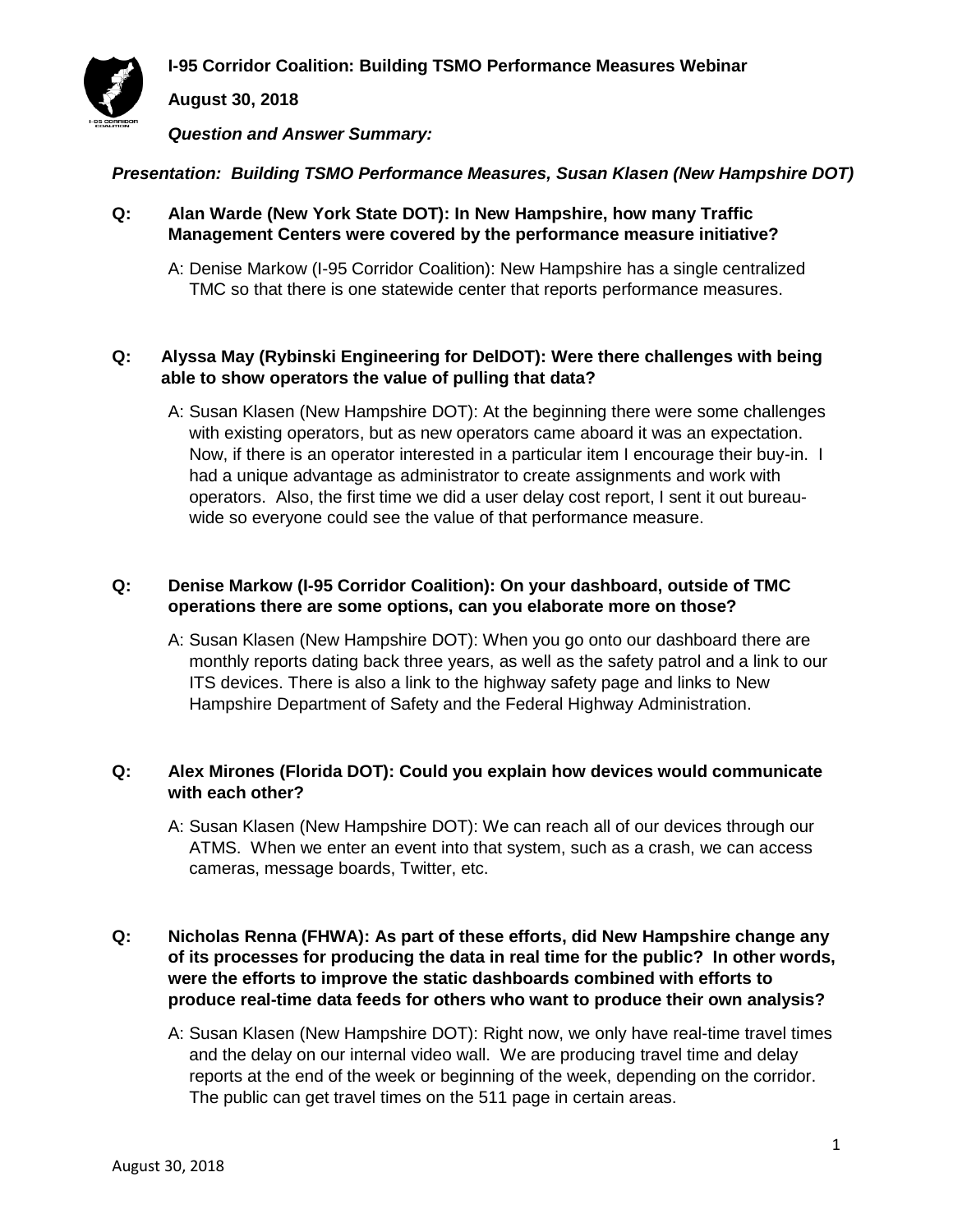**I-95 Corridor Coalition: Building TSMO Performance Measures Webinar**



**August 30, 2018**

*Question and Answer Summary:*

## *Presentation: Building TSMO Performance Measures, Susan Klasen (New Hampshire DOT)*

- **Q: Alan Warde (New York State DOT): In New Hampshire, how many Traffic Management Centers were covered by the performance measure initiative?** 
	- A: Denise Markow (I-95 Corridor Coalition): New Hampshire has a single centralized TMC so that there is one statewide center that reports performance measures.

## **Q: Alyssa May (Rybinski Engineering for DelDOT): Were there challenges with being able to show operators the value of pulling that data?**

A: Susan Klasen (New Hampshire DOT): At the beginning there were some challenges with existing operators, but as new operators came aboard it was an expectation. Now, if there is an operator interested in a particular item I encourage their buy-in. I had a unique advantage as administrator to create assignments and work with operators. Also, the first time we did a user delay cost report, I sent it out bureauwide so everyone could see the value of that performance measure.

# **Q: Denise Markow (I-95 Corridor Coalition): On your dashboard, outside of TMC operations there are some options, can you elaborate more on those?**

A: Susan Klasen (New Hampshire DOT): When you go onto our dashboard there are monthly reports dating back three years, as well as the safety patrol and a link to our ITS devices. There is also a link to the highway safety page and links to New Hampshire Department of Safety and the Federal Highway Administration.

# **Q: Alex Mirones (Florida DOT): Could you explain how devices would communicate with each other?**

A: Susan Klasen (New Hampshire DOT): We can reach all of our devices through our ATMS. When we enter an event into that system, such as a crash, we can access cameras, message boards, Twitter, etc.

# **Q: Nicholas Renna (FHWA): As part of these efforts, did New Hampshire change any of its processes for producing the data in real time for the public? In other words, were the efforts to improve the static dashboards combined with efforts to produce real-time data feeds for others who want to produce their own analysis?**

A: Susan Klasen (New Hampshire DOT): Right now, we only have real-time travel times and the delay on our internal video wall. We are producing travel time and delay reports at the end of the week or beginning of the week, depending on the corridor. The public can get travel times on the 511 page in certain areas.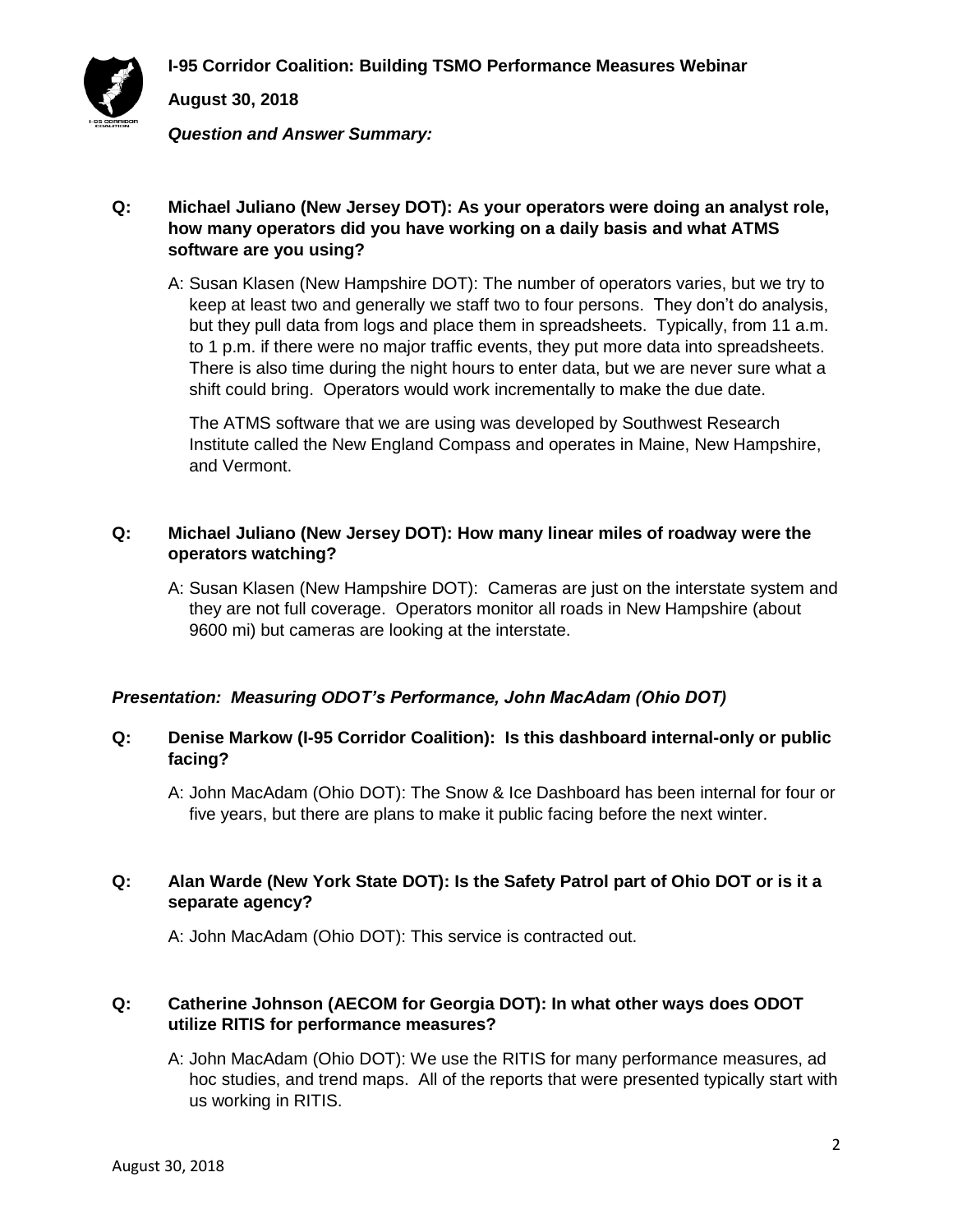



**August 30, 2018**

*Question and Answer Summary:*

# **Q: Michael Juliano (New Jersey DOT): As your operators were doing an analyst role, how many operators did you have working on a daily basis and what ATMS software are you using?**

A: Susan Klasen (New Hampshire DOT): The number of operators varies, but we try to keep at least two and generally we staff two to four persons. They don't do analysis, but they pull data from logs and place them in spreadsheets. Typically, from 11 a.m. to 1 p.m. if there were no major traffic events, they put more data into spreadsheets. There is also time during the night hours to enter data, but we are never sure what a shift could bring. Operators would work incrementally to make the due date.

The ATMS software that we are using was developed by Southwest Research Institute called the New England Compass and operates in Maine, New Hampshire, and Vermont.

# **Q: Michael Juliano (New Jersey DOT): How many linear miles of roadway were the operators watching?**

A: Susan Klasen (New Hampshire DOT): Cameras are just on the interstate system and they are not full coverage. Operators monitor all roads in New Hampshire (about 9600 mi) but cameras are looking at the interstate.

# *Presentation: Measuring ODOT's Performance, John MacAdam (Ohio DOT)*

## **Q: Denise Markow (I-95 Corridor Coalition): Is this dashboard internal-only or public facing?**

A: John MacAdam (Ohio DOT): The Snow & Ice Dashboard has been internal for four or five years, but there are plans to make it public facing before the next winter.

## **Q: Alan Warde (New York State DOT): Is the Safety Patrol part of Ohio DOT or is it a separate agency?**

A: John MacAdam (Ohio DOT): This service is contracted out.

# **Q: Catherine Johnson (AECOM for Georgia DOT): In what other ways does ODOT utilize RITIS for performance measures?**

A: John MacAdam (Ohio DOT): We use the RITIS for many performance measures, ad hoc studies, and trend maps. All of the reports that were presented typically start with us working in RITIS.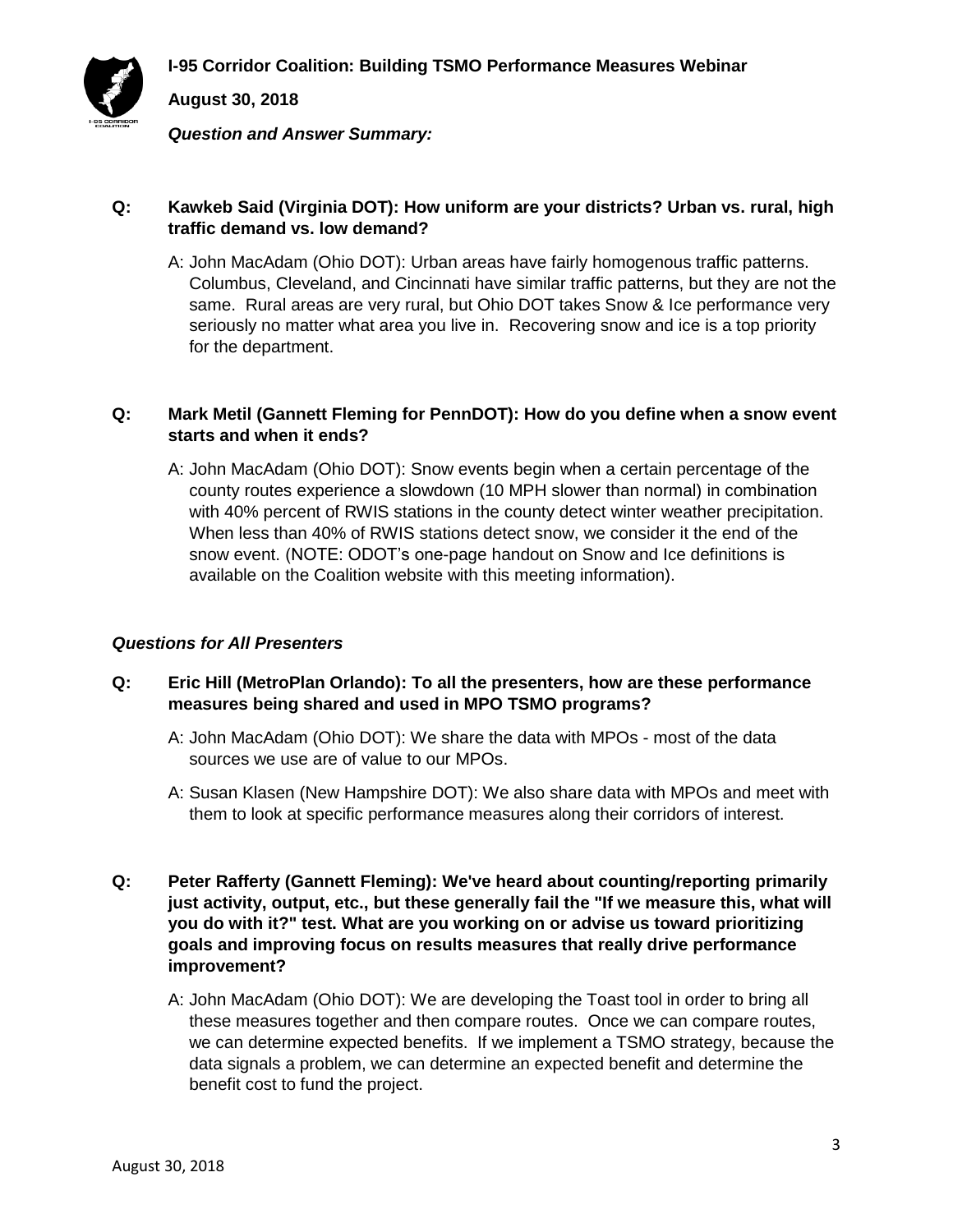

**August 30, 2018**

*Question and Answer Summary:*

## **Q: Kawkeb Said (Virginia DOT): How uniform are your districts? Urban vs. rural, high traffic demand vs. low demand?**

A: John MacAdam (Ohio DOT): Urban areas have fairly homogenous traffic patterns. Columbus, Cleveland, and Cincinnati have similar traffic patterns, but they are not the same. Rural areas are very rural, but Ohio DOT takes Snow & Ice performance very seriously no matter what area you live in. Recovering snow and ice is a top priority for the department.

# **Q: Mark Metil (Gannett Fleming for PennDOT): How do you define when a snow event starts and when it ends?**

A: John MacAdam (Ohio DOT): Snow events begin when a certain percentage of the county routes experience a slowdown (10 MPH slower than normal) in combination with 40% percent of RWIS stations in the county detect winter weather precipitation. When less than 40% of RWIS stations detect snow, we consider it the end of the snow event. (NOTE: ODOT's one-page handout on Snow and Ice definitions is available on the Coalition website with this meeting information).

## *Questions for All Presenters*

# **Q: Eric Hill (MetroPlan Orlando): To all the presenters, how are these performance measures being shared and used in MPO TSMO programs?**

- A: John MacAdam (Ohio DOT): We share the data with MPOs most of the data sources we use are of value to our MPOs.
- A: Susan Klasen (New Hampshire DOT): We also share data with MPOs and meet with them to look at specific performance measures along their corridors of interest.
- **Q: Peter Rafferty (Gannett Fleming): We've heard about counting/reporting primarily just activity, output, etc., but these generally fail the "If we measure this, what will you do with it?" test. What are you working on or advise us toward prioritizing goals and improving focus on results measures that really drive performance improvement?** 
	- A: John MacAdam (Ohio DOT): We are developing the Toast tool in order to bring all these measures together and then compare routes. Once we can compare routes, we can determine expected benefits. If we implement a TSMO strategy, because the data signals a problem, we can determine an expected benefit and determine the benefit cost to fund the project.